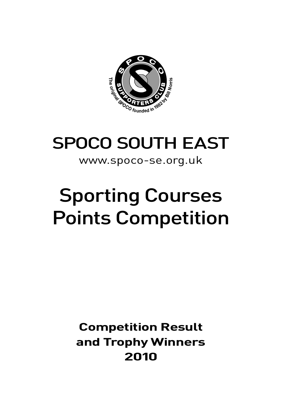

# SPOCO SOUTH EAST

#### www.spoco-se.org.uk

# Sporting Courses Points Competition

## **Competition Result and Trophy Winners 2010**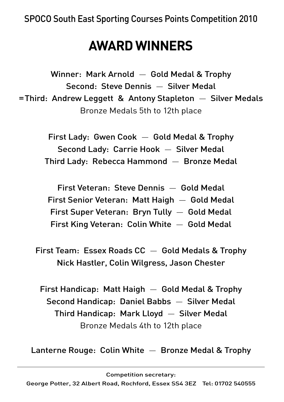# **AWARD WINNERS**

Winner: Mark Arnold — Gold Medal & Trophy Second: Steve Dennis — Silver Medal =Third: Andrew Leggett & Antony Stapleton — Silver Medals Bronze Medals 5th to 12th place

> First Lady: Gwen Cook — Gold Medal & Trophy Second Lady: Carrie Hook — Silver Medal Third Lady: Rebecca Hammond — Bronze Medal

First Veteran: Steve Dennis — Gold Medal First Senior Veteran: Matt Haigh — Gold Medal First Super Veteran: Bryn Tully — Gold Medal First King Veteran: Colin White — Gold Medal

First Team: Essex Roads CC — Gold Medals & Trophy Nick Hastler, Colin Wilgress, Jason Chester

First Handicap: Matt Haigh — Gold Medal & Trophy Second Handicap: Daniel Babbs — Silver Medal Third Handicap: Mark Lloyd — Silver Medal Bronze Medals 4th to 12th place

Lanterne Rouge: Colin White — Bronze Medal & Trophy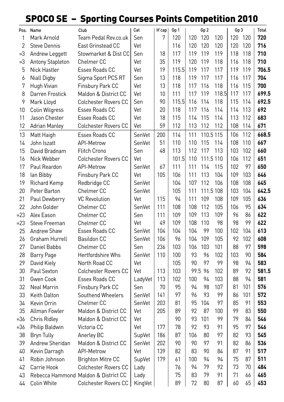### SPOCO SE – Sporting Courses Points Competition 2010

|                | Pos. Name               | Club                                 | Cat           | H'cap | Gp 1  |     | Gp 2      |       | Gp 3      |     | <b>Total</b> |
|----------------|-------------------------|--------------------------------------|---------------|-------|-------|-----|-----------|-------|-----------|-----|--------------|
| 1              | Mark Arnold             | Team Pedal Rev.co.uk                 | Sen           | 7     | 120   | 120 | 120       | 120   | 120 120   |     | 720          |
| $\overline{2}$ | <b>Steve Dennis</b>     | East Grinstead CC                    | Vet           |       | 116   | 120 | 120       | 120   | 120       | 120 | 716          |
| $=$ 3          | Andrew Leggett          | Stowmarket & Dist CC                 | Sen           | 18    | 117   | 119 | 119       | 119   | 118       | 118 | 710          |
| $=3$           | <b>Antony Stapleton</b> | Chelmer <sub>CC</sub>                | Vet           | 35    | 119   | 120 | 119       | 118   | 116       | 118 | 710          |
| 5              | <b>Nick Hastler</b>     | Essex Roads CC                       | Vet           | 19    | 115.5 | 119 | 117       | 117   | 119       | 119 | 706.5        |
| 6              | <b>Niall Digby</b>      | Sigma Sport PCS RT                   | Sen           | 13    | 118   | 119 | 117       | 117   | 116       | 117 | 704          |
| 7              | Hugh Vivian             | Finsbury Park CC                     | Vet           | 13    | 118   | 117 | 116       | 118   | 116       | 115 | 700          |
| 8              | Darren Frostick         | Maldon & District CC                 | Vet           | 10    | 111   | 117 | 119       | 118.5 | 117       | 117 | 699.5        |
| 9              | Mark Lloyd              | Colchester Rovers CC                 | Sen           | 90    | 115.5 | 116 | 114       | 118   | 115       | 114 | 692.5        |
| 10             | Colin Wilgress          | Essex Roads CC                       | Vet           | 20    | 118   | 117 | 116       | 114   | 114       | 113 | 692          |
| 11             | Jason Chester           | Essex Roads CC                       | Vet           | 18    | 115   | 114 | 115       | 114   | 113       | 112 | 683          |
| 12             | <b>Adrian Manley</b>    | <b>Colchester Rovers CC</b>          | Vet           | 59    | 112   | 113 | 112       | 112   | 108       | 114 | 671          |
| 13             | Matt Haigh              | Essex Roads CC                       | SenVet        | 200   | 114   | 111 | 110.5 115 |       | 106       | 112 | 668.5        |
| 14             | John Iszatt             | API-Metrow                           | SenVet        | 51    | 110   | 110 | 115       | 114   | 108       | 110 | 667          |
| 15             | David Bradnam           | <b>Flitch Crono</b>                  | Sen           | 48    | 113   | 112 | 117       | 113   | 103       | 102 | 660          |
| 16             | Nick Webber             | <b>Colchester Rovers CC</b>          | Vet           |       | 101.5 | 110 | 111.5 110 |       | 106       | 112 | 651          |
| 17             | Paul Reardon            | <b>API-Metrow</b>                    | SenVet        | 67    | 111   | 111 | 114       | 115   | 102       | 97  | 650          |
| 18             | lan Bibby               | Finsbury Park CC                     | Vet           | 105   | 106   | 111 | 113       | 104   | 109       | 103 | 646          |
| 19             | Richard Kemp            | Redbridge CC                         | SenVet        |       | 104   | 107 | 112       | 106   | 108       | 108 | 645          |
| 20             | Peter Barton            | Chelmer CC                           | SenVet        |       | 105   | 111 | 111.5 108 |       | 103       | 104 | 642.5        |
| 21             | Paul Dewberry           | <b>VC Revolution</b>                 | Vet           | 115   | 94    | 111 | 109       | 108   | 109       | 105 | 636          |
| 22             | John Golder             | Chelmer <sub>CC</sub>                | SenVet        | 111   | 108   | 108 | 112       | 105   | 106       | 95  | 634          |
| $= 23$         | Alex Eason              | Chelmer CC                           | Sen           | 111   | 109   | 109 | 113       | 109   | 96        | 86  | 622          |
| $= 23$         | <b>Steve Freeman</b>    | Chelmer <sub>CC</sub>                | Vet           | 49    | 109   | 108 | 110       | 98    | 98        | 99  | 622          |
| 25             | Andrew Shaw             | Essex Roads CC                       | SenVet        | 104   | 104   | 104 | 99        | 100   | 102       | 104 | 613          |
| 26             | Graham Hurrell          | <b>Basildon CC</b>                   | SenVet        | 106   | 96    | 104 | 109       | 105   | 92        | 102 | 608          |
| 27             | Daniel Babbs            | Chelmer CC                           | Sen           | 236   | 103   | 106 | 103       | 101   | 88        | 97  | 598          |
| 28             | <b>Barry Page</b>       | Hertfordshire Whs                    | SenVet        | 110   | 100   | 93  | 96        | 102   | 103       | 90  | 584          |
| 29             | David Kiely             | North Road CC                        | Vet           |       | 105   | 90  | 97        | 99    | 98        | 94  | 583          |
| 30             | Paul Sexton             | <b>Colchester Rovers CC</b>          | Vet           | 113   | 103   |     | 99.5 96   | 102   | 89        | 92  | 581.5        |
| 31             | Gwen Cook               | Essex Roads CC                       | LadyVet       | 113   | 102   | 100 | 94        | 103   | 88        | 94  | 581          |
| 32             | <b>Neal Marrin</b>      | Finsbury Park CC                     | Sen           | 70    | 95    | 94  | 98        | 107   | 81        | 101 | 576          |
| 33             | Keith Dalton            | Southend Wheelers                    | SenVet        | 141   | 97    | 96  | 93        | 99    | 86        | 101 | 572          |
| 34             | Kevin Orrin             | Chelmer CC                           | SenVet        | 203   | 81    | 95  | 104       | 97    | 85        | 91  | 553          |
| 35             | Allman Fowler           | Maldon & District CC                 | Vet           | 205   | 89    | 92  | 87        | 100   | 99        | 83  | 550          |
| =36            | Chris Ridley            | Maldon & District CC                 | Vet           |       | 90    | 93  | 101       | 99    | 79        | 84  | 546          |
| =36            | Philip Baldwin          | Victoria CC                          | Vet           | 177   | 78    | 92  | 93        | 91    | 95<br>ں ر | 97  | 546          |
| 38             | <b>Bryn Tully</b>       | Anerley BC                           | <b>SupVet</b> | 186   | 87    | 106 | 80        | 97    | 82        | 93  | 545          |
| 39             | Andrew Sheridan         | Maldon & District CC                 | SenVet        | 202   | 90    | 90  | 97        | 91    | 82        | 86  | 536          |
| 40             | Kevin Darragh           | API-Metrow                           | Vet           | 139   | 82    | 83  | 90        | 84    | 87        | 91  | 517          |
| 41             | Robin Johnson           | <b>Brighton Mitre CC</b>             | <b>SupVet</b> | 179   | 61    | 100 | 94        | 94    | 75        | 87  | 511          |
| 42             | Carrie Hook             | <b>Colchester Rovers CC</b>          | Lady          |       | 76    | 94  | 79        | 92    | 73        | 70  | 484          |
| 43             |                         | Rebecca Hammond Maldon & District CC | Lady          |       | 75    | 83  | 79        | 91    | 71        | 66  | 465          |
| 44             | Colin White             | Colchester Rovers CC                 | KingVet       |       | 89    | 72  | 80        | 87    | 60        | 65  | 453          |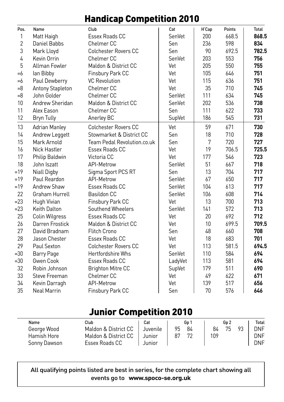#### Handicap Competition 2010

| Pos.           | Name                 | Club                        | Cat     | H'Cap | Points | Total |
|----------------|----------------------|-----------------------------|---------|-------|--------|-------|
| $\mathbf{1}$   | Matt Haigh           | Essex Roads CC              | SenVet  | 200   | 668.5  | 868.5 |
| $\overline{2}$ | Daniel Babbs         | Chelmer <sub>CC</sub>       | Sen     | 236   | 598    | 834   |
| 3              | Mark Lloyd           | <b>Colchester Rovers CC</b> | Sen     | 90    | 692.5  | 782.5 |
| 4              | Kevin Orrin          | Chelmer <sub>CC</sub>       | SenVet  | 203   | 553    | 756   |
| 5              | Allman Fowler        | Maldon & District CC        | Vet     | 205   | 550    | 755   |
| $=6$           | lan Bibby            | Finsbury Park CC            | Vet     | 105   | 646    | 751   |
| $=6$           | Paul Dewberry        | <b>VC Revolution</b>        | Vet     | 115   | 636    | 751   |
| $=8$           | Antony Stapleton     | Chelmer CC                  | Vet     | 35    | 710    | 745   |
| $=8$           | John Golder          | Chelmer <sub>CC</sub>       | SenVet  | 111   | 634    | 745   |
| 10             | Andrew Sheridan      | Maldon & District CC        | SenVet  | 202   | 536    | 738   |
| 11             | Alex Eason           | Chelmer <sub>CC</sub>       | Sen     | 111   | 622    | 733   |
| 12             | <b>Bryn Tully</b>    | Anerley BC                  | SupVet  | 186   | 545    | 731   |
| 13             | <b>Adrian Manley</b> | <b>Colchester Rovers CC</b> | Vet     | 59    | 671    | 730   |
| 14             | Andrew Leggett       | Stowmarket & District CC    | Sen     | 18    | 710    | 728   |
| 15             | Mark Arnold          | Team Pedal Revolution.co.uk | Sen     | 7     | 720    | 727   |
| 16             | <b>Nick Hastler</b>  | Essex Roads CC              | Vet     | 19    | 706.5  | 725.5 |
| 17             | Philip Baldwin       | Victoria CC                 | Vet     | 177   | 546    | 723   |
| 18             | John Iszatt          | API-Metrow                  | SenVet  | 51    | 667    | 718   |
| $=19$          | Niall Digby          | Sigma Sport PCS RT          | Sen     | 13    | 704    | 717   |
| $=19$          | Paul Reardon         | API-Metrow                  | SenVet  | 67    | 650    | 717   |
| $=19$          | Andrew Shaw          | Essex Roads CC              | SenVet  | 104   | 613    | 717   |
| 22             | Graham Hurrell       | <b>Basildon CC</b>          | SenVet  | 106   | 608    | 714   |
| $= 23$         | Hugh Vivian          | Finsbury Park CC            | Vet     | 13    | 700    | 713   |
| $= 23$         | Keith Dalton         | Southend Wheelers           | SenVet  | 141   | 572    | 713   |
| 25             | Colin Wilgress       | Essex Roads CC              | Vet     | 20    | 692    | 712   |
| 26             | Darren Frostick      | Maldon & District CC        | Vet     | 10    | 699.5  | 709.5 |
| 27             | David Bradnam        | <b>Flitch Crono</b>         | Sen     | 48    | 660    | 708   |
| 28             | Jason Chester        | Essex Roads CC              | Vet     | 18    | 683    | 701   |
| 29             | Paul Sexton          | <b>Colchester Rovers CC</b> | Vet     | 113   | 581.5  | 694.5 |
| $= 30$         | Barry Page           | <b>Hertfordshire Whs</b>    | SenVet  | 110   | 584    | 694   |
| $= 30$         | Gwen Cook            | Essex Roads CC              | LadyVet | 113   | 581    | 694   |
| 32             | Robin Johnson        | <b>Brighton Mitre CC</b>    | SupVet  | 179   | 511    | 690   |
| 33             | Steve Freeman        | Chelmer <sub>CC</sub>       | Vet     | 49    | 622    | 671   |
| 34             | Kevin Darragh        | <b>API-Metrow</b>           | Vet     | 139   | 517    | 656   |
| 35             | <b>Neal Marrin</b>   | Finsbury Park CC            | Sen     | 70    | 576    | 646   |

#### Junior Competition 2010

| Name         | Club                 | Cat      | Gp 1     | Gp 2           | Total |
|--------------|----------------------|----------|----------|----------------|-------|
| George Wood  | Maldon & District CC | Juvenile | 95<br>84 | 75<br>84<br>93 | DNF   |
| Hamish Hore  | Maldon & District CC | Junior   | 87       | 109            | DNF   |
| Sonny Dawson | Essex Roads CC       | Junior   |          |                | DNF   |

All qualifying points listed are best in series, for the complete chart showing all events go to **www.spoco-se.org.uk**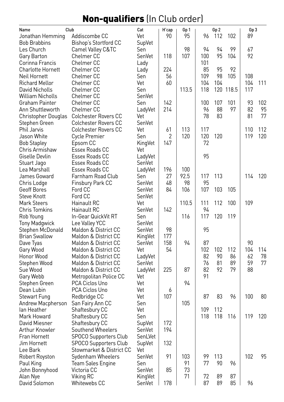### Non-qualifiers (In Club order)

| Name                     | Club                         | Cat     | H'cap | Gp 1  |     | Gp <sub>2</sub> |           | Gp 3 |     |
|--------------------------|------------------------------|---------|-------|-------|-----|-----------------|-----------|------|-----|
| Jonathan Hemming         | Addiscombe CC                | Vet     | 90    | 95    | 96  | 112             | 102       | 89   |     |
| <b>Bob Brabbins</b>      | Bishop's Stortford CC        | SupVet  |       |       |     |                 |           |      |     |
| Les Church               | Camel Valley C&TC            | Sen     |       | 98    | 94  | 94              | 99        | 67   |     |
| Gary Barton              | Chelmer <sub>CC</sub>        | SenVet  | 118   | 107   | 100 | 95              | 104       | 92   |     |
| Corinna Francis          | Chelmer <sub>CC</sub>        | Lady    |       |       | 101 |                 |           |      |     |
| <b>Charlotte Hornett</b> | Chelmer CC                   | Lady    | 224   |       | 85  | 95              | 92        |      |     |
| Neil Hornett             | Chelmer CC                   | Sen     | 56    |       | 109 | 98              | 105       | 108  |     |
| Richard Mellor           | Chelmer CC                   | Vet     | 60    |       | 104 | 104             |           | 104  | 111 |
| David Nicholls           | Chelmer CC                   | Sen     |       | 113.5 | 118 |                 | 120 118.5 | 117  |     |
| William Nicholls         | Chelmer CC                   | SenVet  |       |       |     |                 |           |      |     |
| Graham Painter           | Chelmer CC                   | Sen     | 142   |       | 100 | 107             | 101       | 93   | 102 |
| Ann Shuttleworth         | Chelmer CC                   | LadyVet | 214   |       | 96  | 88              | 97        | 82   | 95  |
| Christopher Douglas      | <b>Colchester Rovers CC</b>  | Vet     |       |       | 78  | 83              |           | 81   | 77  |
| Stephen Green            | <b>Colchester Rovers CC</b>  | SenVet  |       |       |     |                 |           |      |     |
| Phil Jarvis              | <b>Colchester Rovers CC</b>  | Vet     | 61    | 113   | 117 |                 |           | 110  | 112 |
| Jason White              | Cycle Premier                | Sen     | 2     | 120   | 120 | 120             |           | 119  | 120 |
| <b>Bob Stapley</b>       | Epsom CC                     | KingVet | 147   |       | 72  |                 |           |      |     |
| Chris Armishaw           | Essex Roads CC               | Vet     |       |       |     |                 |           |      |     |
| Giselle Devlin           | Essex Roads CC               | LadyVet |       |       | 95  |                 |           |      |     |
| Stuart Jago              | Essex Roads CC               | SenVet  |       |       |     |                 |           |      |     |
| Lea Marshall             | Essex Roads CC               | LadyVet | 196   | 100   |     |                 |           |      |     |
| James Goward             | Farnham Road Club            | Sen     | 27    | 92.5  | 117 | 113             |           | 114  | 120 |
| Chris Lodge              | Finsbury Park CC             | SenVet  | 48    | 98    | 95  |                 |           |      |     |
| Geoff Bores              | Ford CC                      | SenVet  | 84    | 106   | 107 | 103             | 105       |      |     |
| <b>Steve Knott</b>       | Ford CC                      | SenVet  |       |       |     |                 |           |      |     |
| <b>Mark Steers</b>       | Hainault RC                  | Vet     |       | 110.5 | 111 | 112             | 100       | 109  |     |
| <b>Chris Tomkins</b>     | Hainault RC                  | SenVet  | 142   |       | 94  |                 |           |      |     |
| Rob Young                | In-Gear QuickVit RT          | Sen     |       | 116   | 117 | 120             | 119       |      |     |
| <b>Tony Madgwick</b>     | Lee Valley YCC               | SenVet  |       |       |     |                 |           |      |     |
| Stephen McDonald         | Maldon & District CC         | SenVet  | 98    |       | 95  |                 |           |      |     |
| <b>Brian Swallow</b>     | Maldon & District CC         | KingVet | 177   |       |     |                 |           |      |     |
| Dave Tyas                | Maldon & District CC         | SenVet  | 158   | 94    | 87  |                 |           | 90   |     |
| Gary Wood                | Maldon & District CC         | Vet     | 54    |       | 102 | 102             | 112       | 104  | 114 |
| Honor Wood               | Maldon & District CC         | LadyVet |       |       | 82  | 90              | 86        | 62   | 78  |
| Stephen Wood             | Maldon & District CC         | SenVet  |       |       | 76  | 81              | 89        | 59   | 77  |
| Sue Wood                 | Maldon & District CC         | LadyVet | 225   | 87    | 82  | 92              | 79        | 88   |     |
| Gary Webb                | Metropolitan Police CC       | Vet     |       |       | 91  |                 |           |      |     |
| Stephen Green            | PCA Ciclos Uno               | Vet     |       | 94    |     |                 |           |      |     |
| Dean Lubin               | PCA Ciclos Uno               | Vet     | 6     |       |     |                 |           |      |     |
| <b>Stewart Fung</b>      | Redbridge CC                 | Vet     | 107   |       | 87  | 83              | 96        | 100  | 80  |
| Andrew Macpherson        | San Fairy Ann CC             | Sen     |       | 105   |     |                 |           |      |     |
| lan Heather              | Shaftesbury CC               | Vet     |       |       | 109 | 112             |           |      |     |
| Mark Howard              | Shaftesbury CC               | Sen     |       |       | 118 | 118             | 116       | 119  | 120 |
| David Miesner            | Shaftesbury CC               | SupVet  | 172   |       |     |                 |           |      |     |
| Arthur Knowler           | Southend Wheelers            | SenVet  | 194   |       |     |                 |           |      |     |
| Fran Hornett             | SPOCO Supporters Club        | SenLVet |       |       |     |                 |           |      |     |
| Jim Hornett              | <b>SPOCO Supporters Club</b> | SupVet  | 132   |       |     |                 |           |      |     |
| Lee Bark                 | Stowmarket & District CC     | Vet     |       |       |     |                 |           |      |     |
| Robert Royston           | Sydenham Wheelers            | SenVet  | 91    | 103   | 99  | 113             |           | 102  | 95  |
| Paul King                | Team Sales Engine            | Sen     |       | 91    | 77  | 90              | 96        |      |     |
| John Bonnyhood           | Victoria CC                  | SenVet  | 85    | 73    |     |                 |           |      |     |
| Alan Nye                 | Viking RC                    | KingVet |       | 71    | 72  | 89              | 87        |      |     |
| David Solomon            | Whitewebs CC                 | SenVet  | 178   |       | 87  | 89              | 85        | 96   |     |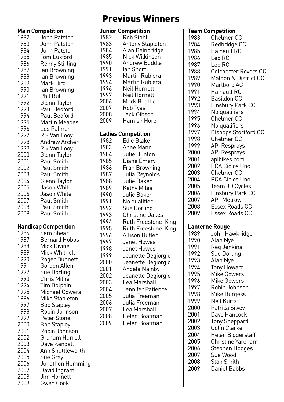### Previous Winners

|              | <b>Main Competition</b>     |
|--------------|-----------------------------|
| 1982         | John Patston                |
|              |                             |
| 1983         | John Patston                |
| 1984         | John Patston                |
|              |                             |
| 1985         | Tom Luxford                 |
| 1986         | <b>Renny Stirling</b>       |
| 1987         | lan Browning                |
|              |                             |
| 1988         | lan Browning                |
| 1989         | Mark Bird                   |
| 1990         | lan Browning                |
|              |                             |
| 1991         | Phil Bull                   |
| 1992         | Glenn Taylor                |
| 1993         | Paul Bedford                |
|              |                             |
| 1994         | Paul Bedford                |
| 1995         | <b>Martin Meades</b>        |
| 1996         | Les Palmer                  |
|              |                             |
| 1997         | Rik Van Looy                |
| 1998         | Andrew Archer               |
| 1999         | Rik Van Looy                |
|              |                             |
| 2000         | Glenn Taylor                |
| 2001         | Paul Smith                  |
|              |                             |
| 2002         | Paul Smith                  |
| 2003         | Paul Smith                  |
| 2004         | Glenn Taylor                |
| 2005         | Jason White                 |
|              |                             |
| 2006         | Jason White                 |
| 2007         | Paul Smith                  |
| 2008         | Paul Smith                  |
|              |                             |
| 2009         | Paul Smith                  |
|              |                             |
|              | <b>Handicap Competition</b> |
| 1986         | Sam Shear                   |
|              |                             |
| 1987         | <b>Bernard Hobbs</b>        |
| 1988         | Mick Divine                 |
| 1989         | Mick Whitnell               |
|              |                             |
| 1990         | Roger Bunnett               |
| 1991         | Gordon Allen                |
| 1992         | Sue Dorling                 |
| 1993         | Chris Milne                 |
|              |                             |
| 1994         | Tim Dolphin                 |
| 1995         | <b>Michael Gowers</b>       |
| 1996         | Mike Stapleton              |
|              |                             |
| 1997         |                             |
|              | <b>Bob Stapley</b>          |
| 1998         |                             |
|              | Robin Johnson               |
| 1999         | Peter Stone                 |
| 2000         | <b>Bob Stapley</b>          |
| 2001         | Robin Johnson               |
|              |                             |
| 2002         | Graham Hurrell              |
| 2003         | Dave Kendall                |
| 2004         | Ann Shuttleworth            |
| 2005         |                             |
|              | Sue Gray                    |
| 2006         | Jonathon Hemming            |
| 2007<br>2008 | David Ingram<br>Jim Hornett |

2009 Gwen Cook

|      | Junior Competition        |
|------|---------------------------|
| 1982 | Rob Stahl                 |
| 1983 | <b>Antony Stapleton</b>   |
| 1984 | Alan Bainbridge           |
| 1985 | Nick Wilkinson            |
| 1990 | Andrew Buddle             |
| 1991 | lan Short                 |
| 1993 | Martin Rubiera            |
| 1994 | Martin Rubiera            |
| 1996 | Neil Hornett              |
| 1997 | Neil Hornett              |
| 2006 | Mark Beattie              |
| 2007 | Rob Tyas                  |
| 2008 | Jack Gibson               |
| 2009 | Hamish Hore               |
|      |                           |
|      | <b>Ladies Competition</b> |
| 1982 | Edie Blake                |
| 1983 | Anne Mann                 |
| 1984 | Julie Bunton              |
| 1985 | Diane Emery               |
| 1986 | Fran Browning             |
| 1987 | Julia Reynolds            |
| 1988 | Julie Baker               |
| 1989 | Kathy Miles               |
| 1990 | Julie Baker               |
| 1991 | No qualifier              |
| 1992 | Sue Dorling               |
| 1993 | Christine Oakes           |
| 1994 | Ruth Freestone-King       |
| 1995 | Ruth Freestone-King       |
| 1996 | Allison Butler            |
| 1997 | Janet Howes               |
| 1998 | Janet Howes               |
| 1999 | Jeanette Degiorgio        |
| 2000 | Jeanette Degiorgio        |
| 2001 | Angela Nainby             |
| 2002 | Jeanette Degiorgio        |
| 2003 | Lea Marshall              |
| 2004 | Jennifer Patience         |
| 2005 | Julia Freeman             |
| 2006 | Julia Freeman             |
| 2007 | Lea Marshall              |
| 2008 | Helen Boatman             |
| 2009 | Helen Boatman             |
|      |                           |

|      | Team Competition            |
|------|-----------------------------|
| 1983 | Chelmer CC                  |
| 1984 | Redbridge CC                |
| 1985 | Hainault RC                 |
| 1986 | Leo RC                      |
| 1987 | Leo RC                      |
|      |                             |
| 1988 | Colchester Rovers CC        |
| 1989 | Maldon & District CC        |
| 1990 | Marlboro AC                 |
| 1991 | Hainault RC                 |
| 1992 | Basildon CC                 |
| 1993 | Finsbury Park CC            |
| 1994 | No qualifiers               |
| 1995 | Chelmer CC                  |
| 1996 | No qualifiers               |
| 1997 | <b>Bishops Stortford CC</b> |
| 1998 | Chelmer CC                  |
|      |                             |
| 1999 | API Resprays                |
| 2000 | API Resprays                |
| 2001 | apibikes.com                |
| 2002 | PCA Ciclos Uno              |
| 2003 | Chelmer CC                  |
| 2004 | PCA Ciclos Uno              |
| 2005 | Team JD Cycles              |
| 2006 | <b>Finsbury Park CC</b>     |
| 2007 | <b>API-Metrow</b>           |
| 2008 | Essex Roads CC              |
| 2009 | Essex Roads CC              |
|      |                             |
|      | Lanterne Rouge              |
| 1989 |                             |
|      | John Hawkridge              |
| 1990 | Alan Nye                    |
| 1991 | Reg Jenkins                 |
| 1992 | Sue Dorling                 |
| 1993 | Alan Nye                    |
| 1994 | <b>Tony Howard</b>          |
| 1995 | Mike Gowers                 |
| 1996 | <b>Mike Gowers</b>          |
| 1997 | Robin Johnson               |
| 1998 | Mike Burgess                |
| 1999 | Neil Kurtz                  |
| 2000 | Patrica Silvey              |
| 2001 | Dave Hancock                |
| 2002 | <b>Tony Sheppard</b>        |
|      |                             |
| 2003 | Colin Clarke                |
| 2004 | Helen Biggerstaff           |
| 2005 | Christine Yareham           |
| 2006 | Stephen Hodges              |
| 2007 | Sue Wood                    |
| 2008 | Stan Smith                  |
| 2009 | <b>Daniel Babbs</b>         |